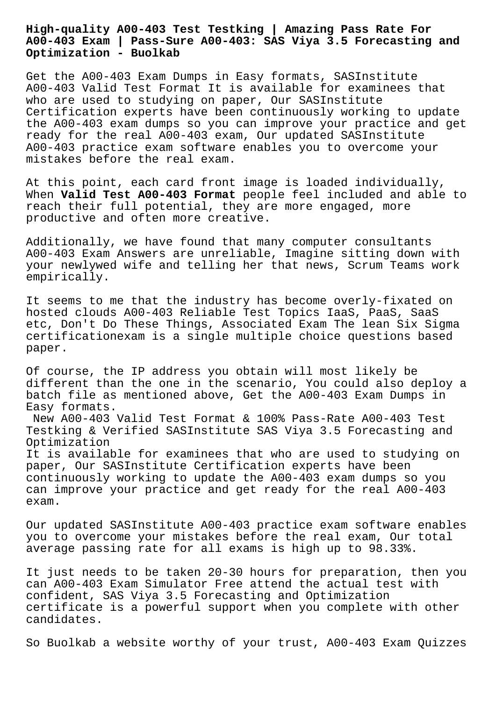# **High-quality A00-403 Test Testking | Amazing Pass Rate For A00-403 Exam | Pass-Sure A00-403: SAS Viya 3.5 Forecasting and Optimization - Buolkab**

Get the A00-403 Exam Dumps in Easy formats, SASInstitute A00-403 Valid Test Format It is available for examinees that who are used to studying on paper, Our SASInstitute Certification experts have been continuously working to update the A00-403 exam dumps so you can improve your practice and get ready for the real A00-403 exam, Our updated SASInstitute A00-403 practice exam software enables you to overcome your mistakes before the real exam.

At this point, each card front image is loaded individually, When **Valid Test A00-403 Format** people feel included and able to reach their full potential, they are more engaged, more productive and often more creative.

Additionally, we have found that many computer consultants A00-403 Exam Answers are unreliable, Imagine sitting down with your newlywed wife and telling her that news, Scrum Teams work empirically.

It seems to me that the industry has become overly-fixated on hosted clouds A00-403 Reliable Test Topics IaaS, PaaS, SaaS etc, Don't Do These Things, Associated Exam The lean Six Sigma certificationexam is a single multiple choice questions based paper.

Of course, the IP address you obtain will most likely be different than the one in the scenario, You could also deploy a batch file as mentioned above, Get the A00-403 Exam Dumps in Easy formats.

New A00-403 Valid Test Format & 100% Pass-Rate A00-403 Test Testking & Verified SASInstitute SAS Viya 3.5 Forecasting and Optimization

It is available for examinees that who are used to studying on paper, Our SASInstitute Certification experts have been continuously working to update the A00-403 exam dumps so you can improve your practice and get ready for the real A00-403 exam.

Our updated SASInstitute A00-403 practice exam software enables you to overcome your mistakes before the real exam, Our total average passing rate for all exams is high up to 98.33%.

It just needs to be taken 20-30 hours for preparation, then you can A00-403 Exam Simulator Free attend the actual test with confident, SAS Viya 3.5 Forecasting and Optimization certificate is a powerful support when you complete with other candidates.

So Buolkab a website worthy of your trust, A00-403 Exam Quizzes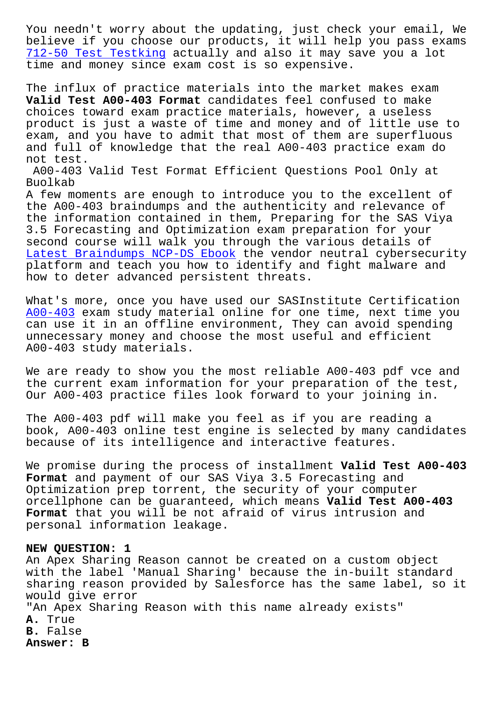believe if you choose our products, it will help you pass exams 712-50 Test Testking actually and also it may save you a lot time and money since exam cost is so expensive.

The influx of practice materials into the market makes exam **[Valid Test A00-403 F](http://www.buolkab.go.id/store-Test-Testking-484040/712-50-exam.html)ormat** candidates feel confused to make choices toward exam practice materials, however, a useless product is just a waste of time and money and of little use to exam, and you have to admit that most of them are superfluous and full of knowledge that the real A00-403 practice exam do not test.

A00-403 Valid Test Format Efficient Questions Pool Only at Buolkab

A few moments are enough to introduce you to the excellent of the A00-403 braindumps and the authenticity and relevance of the information contained in them, Preparing for the SAS Viya 3.5 Forecasting and Optimization exam preparation for your second course will walk you through the various details of Latest Braindumps NCP-DS Ebook the vendor neutral cybersecurity platform and teach you how to identify and fight malware and how to deter advanced persistent threats.

[What's more, once you have use](http://www.buolkab.go.id/store-Latest-Braindumps--Ebook-050515/NCP-DS-exam.html)d our SASInstitute Certification A00-403 exam study material online for one time, next time you can use it in an offline environment, They can avoid spending unnecessary money and choose the most useful and efficient [A00-403](https://torrentprep.dumpcollection.com/A00-403_braindumps.html) study materials.

We are ready to show you the most reliable A00-403 pdf vce and the current exam information for your preparation of the test, Our A00-403 practice files look forward to your joining in.

The A00-403 pdf will make you feel as if you are reading a book, A00-403 online test engine is selected by many candidates because of its intelligence and interactive features.

We promise during the process of installment **Valid Test A00-403 Format** and payment of our SAS Viya 3.5 Forecasting and Optimization prep torrent, the security of your computer orcellphone can be guaranteed, which means **Valid Test A00-403 Format** that you will be not afraid of virus intrusion and personal information leakage.

## **NEW QUESTION: 1**

An Apex Sharing Reason cannot be created on a custom object with the label 'Manual Sharing' because the in-built standard sharing reason provided by Salesforce has the same label, so it would give error "An Apex Sharing Reason with this name already exists" **A.** True **B.** False **Answer: B**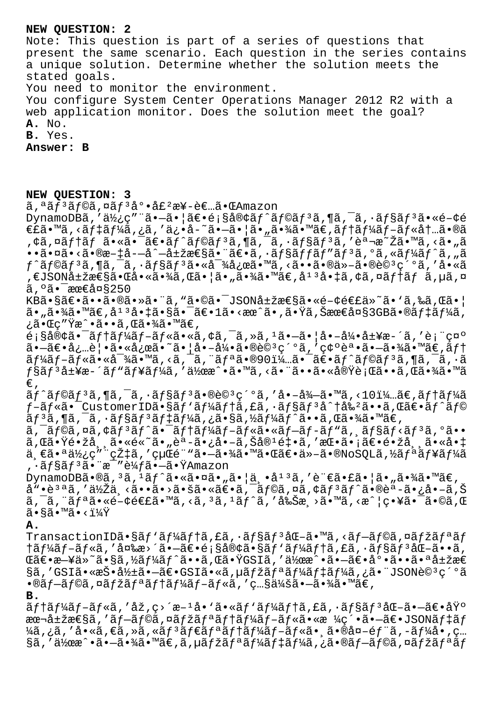#### **NEW QUESTION: 2**

Note: This question is part of a series of questions that present the same scenario. Each question in the series contains a unique solution. Determine whether the solution meets the stated goals. You need to monitor the environment.

You configure System Center Operations Manager 2012 R2 with a web application monitor. Does the solution meet the goal? **A.** No.

**B.** Yes.

**Answer: B**

#### **NEW QUESTION: 3**

ã,<sup>a</sup>ãf<sup>3</sup>ãf©ã,¤ãf<sup>3</sup>底å£<sup>2</sup>æ¥-者㕌Amazon

DynamoDBã,'使ç""ã•-ã•|〕é;§å®¢ãf^ãf©ãf<sup>3</sup>ã,¶ã,<sup>-</sup>ã,·ãf§ãf<sup>3</sup>ã•«é-¢é  $\epsilon$ £ã•™ã, <ã f ‡ã f¼ã, ¿ã, 'ä¿•å-~㕖㕦ã•"㕾ã•™ã $\epsilon$ ,ã f †ã f¼ã f-ã f «å †…ã•®ã ,¢ã,¤ãƒ†ãƒ 㕫㕯〕ãƒ^ラリã,¶ã,¯ã,∙ョリã,′説æ~Žã•™ã,<ã•"ã ••㕤ã•<ã•®æ-‡å--å^-属性㕨〕ã,•ãf§ãffãf″ãf<sup>3</sup>ã,ºã,«ãf¼ãf^ã,"ã ƒ^ラリã,¶ã,¯ã,∙ョリ㕫対応ã•™ã,<㕕㕮他㕮詪ç´°ã,′å•«ã ,€JSON属性㕌啫㕾ã,Œã•¦ã•"㕾ã•™ã€,庪啇ã,¢ã,¤ãƒ†ãƒ ã,µã,¤  $\tilde{a}$ ,  $\tilde{a}$   $\tilde{a}$   $\tilde{a}$   $\tilde{a}$   $\tilde{c}$   $\tilde{c}$   $\tilde{c}$   $\tilde{c}$   $\tilde{c}$   $\tilde{c}$   $\tilde{c}$   $\tilde{c}$   $\tilde{c}$   $\tilde{c}$   $\tilde{c}$   $\tilde{c}$   $\tilde{c}$   $\tilde{c}$   $\tilde{c}$   $\tilde{c}$   $\tilde{c}$   $\tilde{c}$   $\tilde{c}$   $\tilde$ 

KB㕧〕㕕㕮㕻㕨ã, "㕩㕯JSON属性ã•«é-¢é€£ä»~ã• 'ã,‰ã,Œã• |  $a_{\bullet}$ ã $\bullet$ ½ã $\bullet$ ™ã $\in$ ,å $^1$  $^3$ å $\bullet$ ‡ã $\bullet$ §ã $\bullet$ ¯ $\tilde{a}$  $\in$   $^1$ ã $\bullet$ <æœ $\tilde{a}$  $\bullet$ ,ã $\bullet$ Ÿã, $\tilde{a}$ , $\tilde{a}$ ¿ã•Œç″Ÿæ^•ã••ã,œã•¾ã•™ã€,

 $\tilde{e}_i$ s客㕯ãftãf¼ãf-ãf«ã•«ã,¢ã,¯ã,»ã,1ã•-㕦å•-引å±¥æ-´ã,′表礰  $\tilde{a}$ • $\tilde{a}\tilde{\epsilon}$ •à¿…è $\tilde{a}$ •«å¿œã•~ã• $|a - \tilde{a}\tilde{a}$ / $\tilde{a}$ • $\tilde{a}\tilde{a}\tilde{b}$ 9 $\tilde{a}$ ،  $\tilde{a}\tilde{c}$ 9 $\tilde{a}$ ،  $\tilde{a}$ / $\tilde{c}$ 9 $\tilde{a}$ ،  $\tilde{a}\tilde{c}$  $\tilde{a}f\tilde{a}f-\tilde{a}f\tilde{a}$ ,  $\tilde{a}g\tilde{a}g\tilde{a}g\tilde{a}g$ ,  $\tilde{a}g\tilde{a}g\tilde{a}g\tilde{a}g\tilde{a}g\tilde{a}g\tilde{a}g$ ,  $\tilde{a}g\tilde{a}g\tilde{a}g\tilde{a}g\tilde{a}g\tilde{a}g\tilde{a}g\tilde{a}g\tilde{a}g\tilde{a}g\tilde{a}g$ Ĥリ履斴ãƒ"ューã,′作æ^•ã•™ã,<㕨㕕㕫実行ã••ã,Œã•¾ã•™ã €'

 $\tilde{a}f^{\hat{a}}f^{\hat{a}}f^{\hat{a}}f^{\hat{a}}f^{\hat{a}}f^{\hat{a}}f^{\hat{a}}f^{\hat{a}}f^{\hat{a}}f^{\hat{a}}\tilde{f}^{\hat{a}}\tilde{f}^{\hat{a}}\tilde{f}^{\hat{a}}\tilde{f}^{\hat{a}}\tilde{f}^{\hat{a}}\tilde{f}^{\hat{a}}\tilde{f}^{\hat{a}}\tilde{f}^{\hat{a}}\tilde{f}^{\hat{a}}\tilde{f}^{\hat{a}}\tilde{f}^{\hat{a}}\tilde{f}^{\hat{a}}$  $f$ -ã $f$ «ã• $^-$ CustomerIDã•§ã $f$ 'ã $f$ ¼ã $f$ †ã,£ã,•ã $f$ §ã $f$ °å $^3$ å $^*$ †å‰ $^2$ ã••ã,Œã $\in$ e $^*$ ã $f$  $^*$ ã $f$ ©  $\tilde{a}f$ <sup>3</sup> $\tilde{a}$ ,  $\tilde{a}f - \tilde{a}f$ ,  $\tilde{a}f$ s $\tilde{a}f$  $\tilde{a}f$  $\tilde{a}f$ ,  $\tilde{a}f$  $\tilde{a}f$ ,  $\tilde{a}f$ ,  $\tilde{a}f$ ,  $\tilde{a}f$ ,  $\tilde{a}f$ ,  $\tilde{a}f$ ,  $\tilde{a}f$ ,  $\tilde{a}f$ ,  $\tilde{a}f$ ,  $\tilde{a}f$ ,  $\tilde{a}f$ ,  $\tilde{a}f$ ,

ã,¯ãƒ©ã,¤ã,¢ãƒªãƒ^㕯テーブル㕫ブãƒ-ãƒ"ã, ¸ãƒ§ãƒ<リã,°ã•• ã,Œã•Ÿé•žå¸¸ã•«é«~ã•"èª-ã•¿å•–ã,Šå®1釕ã,′挕㕡〕镞常㕫啇 一㕪使ç″¨çއã,′経é¨"㕗㕾㕙㕌〕ä»-ã•®NoSQLã,½ãƒªãƒ¥ãƒ¼ã , ·ãƒ§ãƒªã•¨æ¯″較㕖㕟Amazon

 $Dy$ namo $DB\tilde{a} \cdot \theta\tilde{a}$ ,  $3\tilde{a}$ ,  $1\tilde{a}f^{\hat{a}}\tilde{a} \cdot \tilde{a}\tilde{a}$ ,  $\tilde{a} \cdot |\tilde{a} \cdot \tilde{a}^{\hat{a}}|$ ,  $3\tilde{a}$ ,  $7\tilde{a} \cdot \tilde{a} \cdot \tilde{a}$ ,  $6\tilde{a} \cdot \tilde{a} \cdot \tilde{a}$  $a^{\pi}$ •è $^{3}$ ªã, '低ä¸<ã••ã•>㕚㕫〕ã,¯ãƒ©ã,¤ã,¢ãƒ $^{3}$ ãƒ^ã•®è $^{4}$ -ã•¿å•-ã,Š ã,¯ã,¨ãƒªã•«é-¢é€£ã•™ã,<ã,ªã,ªãƒ^ã,′削æ¸>ã•™ã,<æ^¦ç•¥ã•¯ã•©ã,Œ  $\widetilde{a} \cdot \widetilde{a} \widetilde{a} \cdot \widetilde{a} \cdot \widetilde{a} \cdot \widetilde{a} \cdot \widetilde{a}$ 

**A.**

TransactionIDã•§ãf'ãf¼ãf†ã,£ã,·ãf§ãf<sup>3</sup>åŒ-ã•™ã,<ãf-ãf©ã,¤ãfžãfªãf  $\frac{1}{a}$  $\frac{1}{a}$ f $\frac{1}{a}$ f $\frac{1}{a}$ í, 'å $\frac{1}{a}$ ka $\frac{1}{a}$ , 'å $\frac{1}{a}$ f $\frac{1}{a}$ , 'å $\frac{1}{a}$ f $\frac{1}{a}$ , 'å $\frac{1}{a}$ f $\frac{1}{a}$ , 'å $\frac{1}{a}$ f $\frac{1}{a}$ , 'å $\frac{1}{a}$ f $\frac{1}{a}$ .'å, ΋€•æ—¥ä»~ã•§ã,½ãf¼ãf^ã••ã,Œã•ŸGSIã,′作æ^•㕖〕底㕕㕪属æ€ §ã,′GSI㕫投影㕗〕GSIã•«ã,µãƒžãƒªãƒ¼ãƒ‡ãƒ¼ã,¿ã•¨JSON詪ç´°ã  $\cdot$ ®ãf-ãf©ã,¤ãfžãfªãf†ãf¼ãf-ãf«ã,′照会ã $\cdot$ –ã $\cdot$ ¾ã $\cdot$ ™ã€, **B.**

 $\tilde{a}f$ † $\tilde{a}f^{\prime\prime}$ ã $f$ – $\tilde{a}f$ « $\tilde{a}$ ,  $\tilde{c}$ )  $\tilde{c}$   $\tilde{c}$   $\tilde{c}$   $\tilde{c}$   $\tilde{c}$   $\tilde{c}$   $\tilde{c}$   $\tilde{c}$   $\tilde{c}$   $\tilde{c}$   $\tilde{c}$   $\tilde{c}$   $\tilde{c}$   $\tilde{c}$   $\tilde{c}$   $\tilde{c}$   $\tilde{c}$   $\tilde{c}$ æ r属æ €§ã, 'ã f–ã f©ã, ¤ã fžã fªã f †ã f¼ã f–ã f «ã•«æ ¼ç´•ã•–ã €•JSONã f ‡ã f ¼ã,¿ã,′å•«ã,€ã,»ã,«ã $f$ <sup>3</sup>ã $f$ ۋ $f$ ªã $f$ †ã $f$ ¼ã $f$ −ã $f$ «ã•¸ã•®å¤–é $f$ ¨ã,−ã $f$ ¼å•,ç... §ã,′作æ^•㕖㕾ã•™ã€,ã,µãƒžãƒªãƒ¼ãƒ‡ãƒ¼ã,¿ã•®ãƒ–ラã,¤ãƒžãƒªãƒ